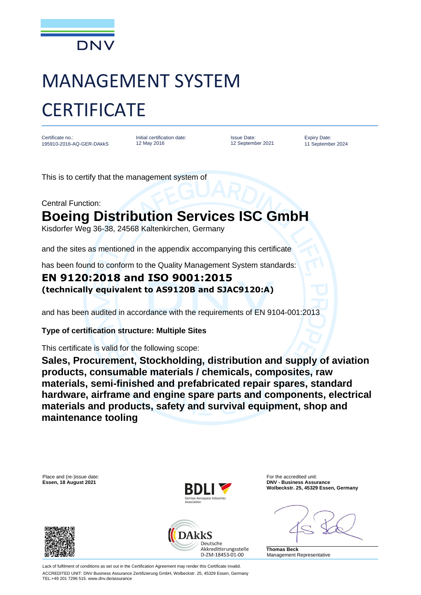

# MANAGEMENT SYSTEM **CERTIFICATE**

Certificate no.: 195910-2016-AQ-GER-DAkkS Initial certification date: 12 May 2016

Issue Date: 12 September 2021 Expiry Date: 11 September 2024

This is to certify that the management system of

Central Function:

## **Boeing Distribution Services ISC GmbH**

Kisdorfer Weg 36-38, 24568 Kaltenkirchen, Germany

and the sites as mentioned in the appendix accompanying this certificate

has been found to conform to the Quality Management System standards:

#### **EN 9120:2018 and ISO 9001:2015 (technically equivalent to AS9120B and SJAC9120:A)**

and has been audited in accordance with the requirements of EN 9104-001:2013

#### **Type of certification structure: Multiple Sites**

This certificate is valid for the following scope:

**Sales, Procurement, Stockholding, distribution and supply of aviation products, consumable materials / chemicals, composites, raw materials, semi-finished and prefabricated repair spares, standard hardware, airframe and engine spare parts and components, electrical materials and products, safety and survival equipment, shop and maintenance tooling**



ACCREDITED UNIT: DNV Business Assurance Zertifizierung GmbH, Wolbeckstr. 25, 45329 Essen, Germany TEL:+49 201 7296 515. www.dnv.de/assurance